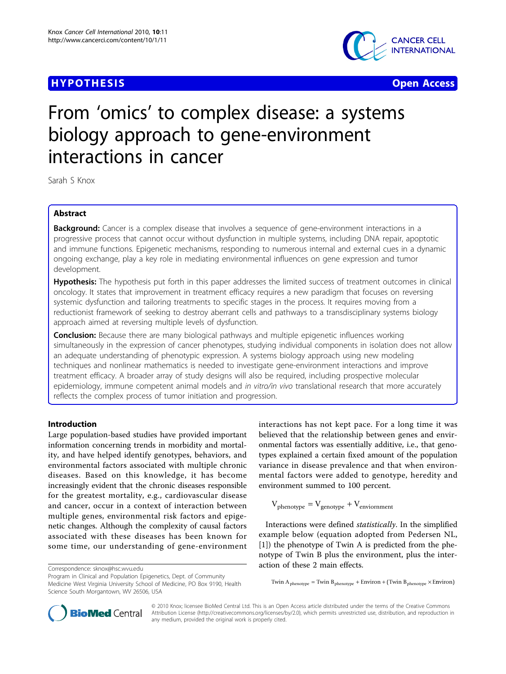## **HYPOTHESIS CONSUMING THE SISTEM CONSUMING THE SISTEM CONSUMING THE SISTEM CONSUMING THE SISTEM CONSUMING THE SISTEM CONSUMING THE SISTEM CONSUMING THE SISTEM CONSUMING THE SISTEM CONSUMING THE SISTEM CONSUMING THE SISTE**





# From 'omics' to complex disease: a systems biology approach to gene-environment interactions in cancer

Sarah S Knox

## Abstract

**Background:** Cancer is a complex disease that involves a sequence of gene-environment interactions in a progressive process that cannot occur without dysfunction in multiple systems, including DNA repair, apoptotic and immune functions. Epigenetic mechanisms, responding to numerous internal and external cues in a dynamic ongoing exchange, play a key role in mediating environmental influences on gene expression and tumor development.

Hypothesis: The hypothesis put forth in this paper addresses the limited success of treatment outcomes in clinical oncology. It states that improvement in treatment efficacy requires a new paradigm that focuses on reversing systemic dysfunction and tailoring treatments to specific stages in the process. It requires moving from a reductionist framework of seeking to destroy aberrant cells and pathways to a transdisciplinary systems biology approach aimed at reversing multiple levels of dysfunction.

**Conclusion:** Because there are many biological pathways and multiple epigenetic influences working simultaneously in the expression of cancer phenotypes, studying individual components in isolation does not allow an adequate understanding of phenotypic expression. A systems biology approach using new modeling techniques and nonlinear mathematics is needed to investigate gene-environment interactions and improve treatment efficacy. A broader array of study designs will also be required, including prospective molecular epidemiology, immune competent animal models and in vitro/in vivo translational research that more accurately reflects the complex process of tumor initiation and progression.

#### Introduction

Large population-based studies have provided important information concerning trends in morbidity and mortality, and have helped identify genotypes, behaviors, and environmental factors associated with multiple chronic diseases. Based on this knowledge, it has become increasingly evident that the chronic diseases responsible for the greatest mortality, e.g., cardiovascular disease and cancer, occur in a context of interaction between multiple genes, environmental risk factors and epigenetic changes. Although the complexity of causal factors associated with these diseases has been known for some time, our understanding of gene-environment interactions has not kept pace. For a long time it was believed that the relationship between genes and environmental factors was essentially additive, i.e., that genotypes explained a certain fixed amount of the population variance in disease prevalence and that when environmental factors were added to genotype, heredity and environment summed to 100 percent.

$$
V_{\text{phenotype}} = V_{\text{genotype}} + V_{\text{environment}}
$$

Interactions were defined statistically. In the simplified example below (equation adopted from Pedersen NL, [[1\]](#page-10-0)) the phenotype of Twin A is predicted from the phenotype of Twin B plus the environment, plus the interaction of these 2 main effects.

```
Twin \text{A}_{\rm phenotype} = Twin \text{B}_{\rm phenotype} + Environ + ( Twin \text{B}_{\rm phenotype} \times Environ)
```


© 2010 Knox; licensee BioMed Central Ltd. This is an Open Access article distributed under the terms of the Creative Commons Attribution License [\(http://creativecommons.org/licenses/by/2.0](http://creativecommons.org/licenses/by/2.0)), which permits unrestricted use, distribution, and reproduction in any medium, provided the original work is properly cited.

Correspondence: [sknox@hsc.wvu.edu](mailto:sknox@hsc.wvu.edu)

Program in Clinical and Population Epigenetics, Dept. of Community Medicine West Virginia University School of Medicine, PO Box 9190, Health Science South Morgantown, WV 26506, USA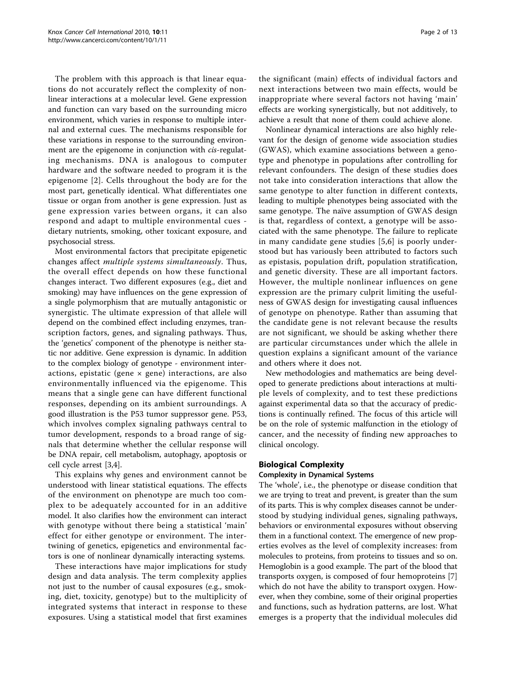The problem with this approach is that linear equations do not accurately reflect the complexity of nonlinear interactions at a molecular level. Gene expression and function can vary based on the surrounding micro environment, which varies in response to multiple internal and external cues. The mechanisms responsible for these variations in response to the surrounding environment are the epigenome in conjunction with *cis-regulat*ing mechanisms. DNA is analogous to computer hardware and the software needed to program it is the epigenome [\[2\]](#page-10-0). Cells throughout the body are for the most part, genetically identical. What differentiates one tissue or organ from another is gene expression. Just as gene expression varies between organs, it can also respond and adapt to multiple environmental cues dietary nutrients, smoking, other toxicant exposure, and psychosocial stress.

Most environmental factors that precipitate epigenetic changes affect multiple systems simultaneously. Thus, the overall effect depends on how these functional changes interact. Two different exposures (e.g., diet and smoking) may have influences on the gene expression of a single polymorphism that are mutually antagonistic or synergistic. The ultimate expression of that allele will depend on the combined effect including enzymes, transcription factors, genes, and signaling pathways. Thus, the 'genetics' component of the phenotype is neither static nor additive. Gene expression is dynamic. In addition to the complex biology of genotype - environment interactions, epistatic (gene  $\times$  gene) interactions, are also environmentally influenced via the epigenome. This means that a single gene can have different functional responses, depending on its ambient surroundings. A good illustration is the P53 tumor suppressor gene. P53, which involves complex signaling pathways central to tumor development, responds to a broad range of signals that determine whether the cellular response will be DNA repair, cell metabolism, autophagy, apoptosis or cell cycle arrest [\[3,4](#page-10-0)].

This explains why genes and environment cannot be understood with linear statistical equations. The effects of the environment on phenotype are much too complex to be adequately accounted for in an additive model. It also clarifies how the environment can interact with genotype without there being a statistical 'main' effect for either genotype or environment. The intertwining of genetics, epigenetics and environmental factors is one of nonlinear dynamically interacting systems.

These interactions have major implications for study design and data analysis. The term complexity applies not just to the number of causal exposures (e.g., smoking, diet, toxicity, genotype) but to the multiplicity of integrated systems that interact in response to these exposures. Using a statistical model that first examines

the significant (main) effects of individual factors and next interactions between two main effects, would be inappropriate where several factors not having 'main' effects are working synergistically, but not additively, to achieve a result that none of them could achieve alone.

Nonlinear dynamical interactions are also highly relevant for the design of genome wide association studies (GWAS), which examine associations between a genotype and phenotype in populations after controlling for relevant confounders. The design of these studies does not take into consideration interactions that allow the same genotype to alter function in different contexts, leading to multiple phenotypes being associated with the same genotype. The naïve assumption of GWAS design is that, regardless of context, a genotype will be associated with the same phenotype. The failure to replicate in many candidate gene studies [[5,6](#page-10-0)] is poorly understood but has variously been attributed to factors such as epistasis, population drift, population stratification, and genetic diversity. These are all important factors. However, the multiple nonlinear influences on gene expression are the primary culprit limiting the usefulness of GWAS design for investigating causal influences of genotype on phenotype. Rather than assuming that the candidate gene is not relevant because the results are not significant, we should be asking whether there are particular circumstances under which the allele in question explains a significant amount of the variance and others where it does not.

New methodologies and mathematics are being developed to generate predictions about interactions at multiple levels of complexity, and to test these predictions against experimental data so that the accuracy of predictions is continually refined. The focus of this article will be on the role of systemic malfunction in the etiology of cancer, and the necessity of finding new approaches to clinical oncology.

#### Biological Complexity

#### Complexity in Dynamical Systems

The 'whole', i.e., the phenotype or disease condition that we are trying to treat and prevent, is greater than the sum of its parts. This is why complex diseases cannot be understood by studying individual genes, signaling pathways, behaviors or environmental exposures without observing them in a functional context. The emergence of new properties evolves as the level of complexity increases: from molecules to proteins, from proteins to tissues and so on. Hemoglobin is a good example. The part of the blood that transports oxygen, is composed of four hemoproteins [[7](#page-10-0)] which do not have the ability to transport oxygen. However, when they combine, some of their original properties and functions, such as hydration patterns, are lost. What emerges is a property that the individual molecules did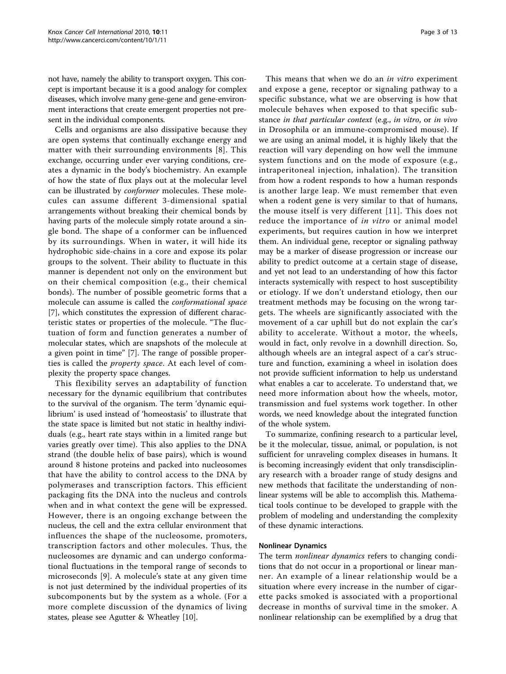not have, namely the ability to transport oxygen. This concept is important because it is a good analogy for complex diseases, which involve many gene-gene and gene-environment interactions that create emergent properties not present in the individual components.

Cells and organisms are also dissipative because they are open systems that continually exchange energy and matter with their surrounding environments [[8](#page-10-0)]. This exchange, occurring under ever varying conditions, creates a dynamic in the body's biochemistry. An example of how the state of flux plays out at the molecular level can be illustrated by conformer molecules. These molecules can assume different 3-dimensional spatial arrangements without breaking their chemical bonds by having parts of the molecule simply rotate around a single bond. The shape of a conformer can be influenced by its surroundings. When in water, it will hide its hydrophobic side-chains in a core and expose its polar groups to the solvent. Their ability to fluctuate in this manner is dependent not only on the environment but on their chemical composition (e.g., their chemical bonds). The number of possible geometric forms that a molecule can assume is called the conformational space [[7\]](#page-10-0), which constitutes the expression of different characteristic states or properties of the molecule. "The fluctuation of form and function generates a number of molecular states, which are snapshots of the molecule at a given point in time" [[7\]](#page-10-0). The range of possible properties is called the property space. At each level of complexity the property space changes.

This flexibility serves an adaptability of function necessary for the dynamic equilibrium that contributes to the survival of the organism. The term 'dynamic equilibrium' is used instead of 'homeostasis' to illustrate that the state space is limited but not static in healthy individuals (e.g., heart rate stays within in a limited range but varies greatly over time). This also applies to the DNA strand (the double helix of base pairs), which is wound around 8 histone proteins and packed into nucleosomes that have the ability to control access to the DNA by polymerases and transcription factors. This efficient packaging fits the DNA into the nucleus and controls when and in what context the gene will be expressed. However, there is an ongoing exchange between the nucleus, the cell and the extra cellular environment that influences the shape of the nucleosome, promoters, transcription factors and other molecules. Thus, the nucleosomes are dynamic and can undergo conformational fluctuations in the temporal range of seconds to microseconds [\[9](#page-10-0)]. A molecule's state at any given time is not just determined by the individual properties of its subcomponents but by the system as a whole. (For a more complete discussion of the dynamics of living states, please see Agutter & Wheatley [[10\]](#page-10-0).

This means that when we do an in vitro experiment and expose a gene, receptor or signaling pathway to a specific substance, what we are observing is how that molecule behaves when exposed to that specific substance in that particular context (e.g., in vitro, or in vivo in Drosophila or an immune-compromised mouse). If we are using an animal model, it is highly likely that the reaction will vary depending on how well the immune system functions and on the mode of exposure (e.g., intraperitoneal injection, inhalation). The transition from how a rodent responds to how a human responds is another large leap. We must remember that even when a rodent gene is very similar to that of humans, the mouse itself is very different [[11\]](#page-10-0). This does not reduce the importance of *in vitro* or animal model experiments, but requires caution in how we interpret them. An individual gene, receptor or signaling pathway may be a marker of disease progression or increase our ability to predict outcome at a certain stage of disease, and yet not lead to an understanding of how this factor interacts systemically with respect to host susceptibility or etiology. If we don't understand etiology, then our treatment methods may be focusing on the wrong targets. The wheels are significantly associated with the movement of a car uphill but do not explain the car's ability to accelerate. Without a motor, the wheels, would in fact, only revolve in a downhill direction. So, although wheels are an integral aspect of a car's structure and function, examining a wheel in isolation does not provide sufficient information to help us understand what enables a car to accelerate. To understand that, we need more information about how the wheels, motor, transmission and fuel systems work together. In other words, we need knowledge about the integrated function of the whole system.

To summarize, confining research to a particular level, be it the molecular, tissue, animal, or population, is not sufficient for unraveling complex diseases in humans. It is becoming increasingly evident that only transdisciplinary research with a broader range of study designs and new methods that facilitate the understanding of nonlinear systems will be able to accomplish this. Mathematical tools continue to be developed to grapple with the problem of modeling and understanding the complexity of these dynamic interactions.

#### Nonlinear Dynamics

The term *nonlinear dynamics* refers to changing conditions that do not occur in a proportional or linear manner. An example of a linear relationship would be a situation where every increase in the number of cigarette packs smoked is associated with a proportional decrease in months of survival time in the smoker. A nonlinear relationship can be exemplified by a drug that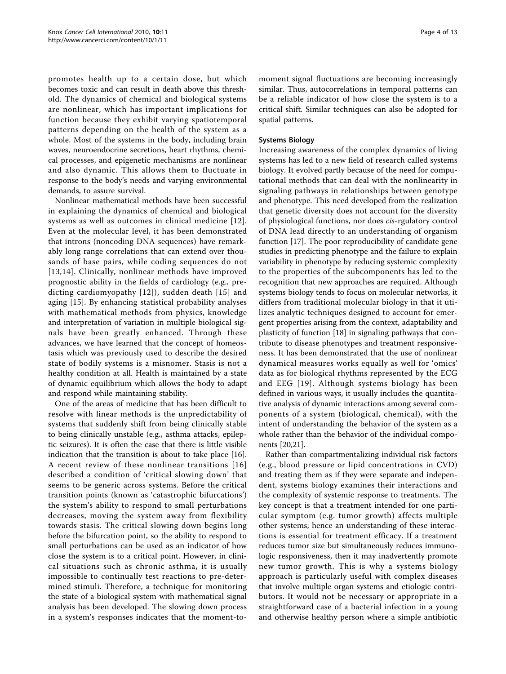promotes health up to a certain dose, but which becomes toxic and can result in death above this threshold. The dynamics of chemical and biological systems are nonlinear, which has important implications for function because they exhibit varying spatiotemporal patterns depending on the health of the system as a whole. Most of the systems in the body, including brain waves, neuroendocrine secretions, heart rhythms, chemical processes, and epigenetic mechanisms are nonlinear and also dynamic. This allows them to fluctuate in response to the body's needs and varying environmental demands, to assure survival.

Nonlinear mathematical methods have been successful in explaining the dynamics of chemical and biological systems as well as outcomes in clinical medicine [[12\]](#page-10-0). Even at the molecular level, it has been demonstrated that introns (noncoding DNA sequences) have remarkably long range correlations that can extend over thousands of base pairs, while coding sequences do not [[13,14](#page-10-0)]. Clinically, nonlinear methods have improved prognostic ability in the fields of cardiology (e.g., predicting cardiomyopathy [[12](#page-10-0)]), sudden death [\[15\]](#page-10-0) and aging [[15\]](#page-10-0). By enhancing statistical probability analyses with mathematical methods from physics, knowledge and interpretation of variation in multiple biological signals have been greatly enhanced. Through these advances, we have learned that the concept of homeostasis which was previously used to describe the desired state of bodily systems is a misnomer. Stasis is not a healthy condition at all. Health is maintained by a state of dynamic equilibrium which allows the body to adapt and respond while maintaining stability.

One of the areas of medicine that has been difficult to resolve with linear methods is the unpredictability of systems that suddenly shift from being clinically stable to being clinically unstable (e.g., asthma attacks, epileptic seizures). It is often the case that there is little visible indication that the transition is about to take place [\[16](#page-10-0)]. A recent review of these nonlinear transitions [[16](#page-10-0)] described a condition of 'critical slowing down' that seems to be generic across systems. Before the critical transition points (known as 'catastrophic bifurcations') the system's ability to respond to small perturbations decreases, moving the system away from flexibility towards stasis. The critical slowing down begins long before the bifurcation point, so the ability to respond to small perturbations can be used as an indicator of how close the system is to a critical point. However, in clinical situations such as chronic asthma, it is usually impossible to continually test reactions to pre-determined stimuli. Therefore, a technique for monitoring the state of a biological system with mathematical signal analysis has been developed. The slowing down process in a system's responses indicates that the moment-tomoment signal fluctuations are becoming increasingly similar. Thus, autocorrelations in temporal patterns can be a reliable indicator of how close the system is to a critical shift. Similar techniques can also be adopted for spatial patterns.

#### Systems Biology

Increasing awareness of the complex dynamics of living systems has led to a new field of research called systems biology. It evolved partly because of the need for computational methods that can deal with the nonlinearity in signaling pathways in relationships between genotype and phenotype. This need developed from the realization that genetic diversity does not account for the diversity of physiological functions, nor does cis-rgulatory control of DNA lead directly to an understanding of organism function [\[17\]](#page-10-0). The poor reproducibility of candidate gene studies in predicting phenotype and the failure to explain variability in phenotype by reducing systemic complexity to the properties of the subcomponents has led to the recognition that new approaches are required. Although systems biology tends to focus on molecular networks, it differs from traditional molecular biology in that it utilizes analytic techniques designed to account for emergent properties arising from the context, adaptability and plasticity of function [\[18\]](#page-10-0) in signaling pathways that contribute to disease phenotypes and treatment responsiveness. It has been demonstrated that the use of nonlinear dynamical measures works equally as well for 'omics' data as for biological rhythms represented by the ECG and EEG [[19](#page-10-0)]. Although systems biology has been defined in various ways, it usually includes the quantitative analysis of dynamic interactions among several components of a system (biological, chemical), with the intent of understanding the behavior of the system as a whole rather than the behavior of the individual components [[20](#page-10-0),[21](#page-10-0)].

Rather than compartmentalizing individual risk factors (e.g., blood pressure or lipid concentrations in CVD) and treating them as if they were separate and independent, systems biology examines their interactions and the complexity of systemic response to treatments. The key concept is that a treatment intended for one particular symptom (e.g. tumor growth) affects multiple other systems; hence an understanding of these interactions is essential for treatment efficacy. If a treatment reduces tumor size but simultaneously reduces immunologic responsiveness, then it may inadvertently promote new tumor growth. This is why a systems biology approach is particularly useful with complex diseases that involve multiple organ systems and etiologic contributors. It would not be necessary or appropriate in a straightforward case of a bacterial infection in a young and otherwise healthy person where a simple antibiotic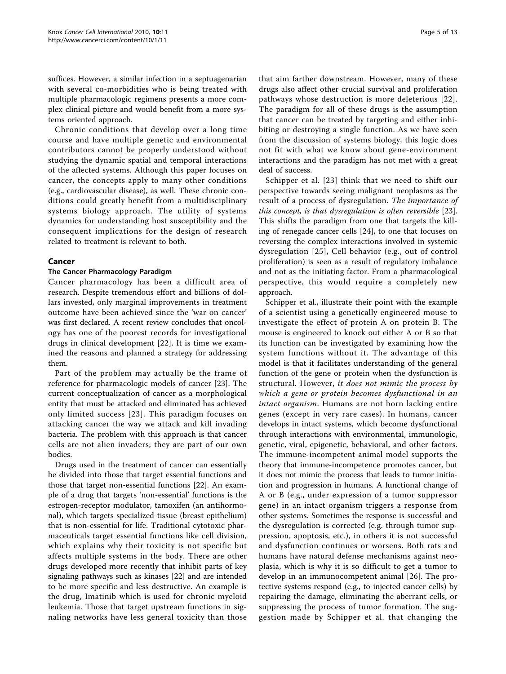suffices. However, a similar infection in a septuagenarian with several co-morbidities who is being treated with multiple pharmacologic regimens presents a more complex clinical picture and would benefit from a more systems oriented approach.

Chronic conditions that develop over a long time course and have multiple genetic and environmental contributors cannot be properly understood without studying the dynamic spatial and temporal interactions of the affected systems. Although this paper focuses on cancer, the concepts apply to many other conditions (e.g., cardiovascular disease), as well. These chronic conditions could greatly benefit from a multidisciplinary systems biology approach. The utility of systems dynamics for understanding host susceptibility and the consequent implications for the design of research related to treatment is relevant to both.

#### Cancer

#### The Cancer Pharmacology Paradigm

Cancer pharmacology has been a difficult area of research. Despite tremendous effort and billions of dollars invested, only marginal improvements in treatment outcome have been achieved since the 'war on cancer' was first declared. A recent review concludes that oncology has one of the poorest records for investigational drugs in clinical development [[22\]](#page-10-0). It is time we examined the reasons and planned a strategy for addressing them.

Part of the problem may actually be the frame of reference for pharmacologic models of cancer [\[23](#page-10-0)]. The current conceptualization of cancer as a morphological entity that must be attacked and eliminated has achieved only limited success [\[23](#page-10-0)]. This paradigm focuses on attacking cancer the way we attack and kill invading bacteria. The problem with this approach is that cancer cells are not alien invaders; they are part of our own bodies.

Drugs used in the treatment of cancer can essentially be divided into those that target essential functions and those that target non-essential functions [[22\]](#page-10-0). An example of a drug that targets 'non-essential' functions is the estrogen-receptor modulator, tamoxifen (an antihormonal), which targets specialized tissue (breast epithelium) that is non-essential for life. Traditional cytotoxic pharmaceuticals target essential functions like cell division, which explains why their toxicity is not specific but affects multiple systems in the body. There are other drugs developed more recently that inhibit parts of key signaling pathways such as kinases [\[22\]](#page-10-0) and are intended to be more specific and less destructive. An example is the drug, Imatinib which is used for chronic myeloid leukemia. Those that target upstream functions in signaling networks have less general toxicity than those

that aim farther downstream. However, many of these drugs also affect other crucial survival and proliferation pathways whose destruction is more deleterious [[22\]](#page-10-0). The paradigm for all of these drugs is the assumption that cancer can be treated by targeting and either inhibiting or destroying a single function. As we have seen from the discussion of systems biology, this logic does not fit with what we know about gene-environment interactions and the paradigm has not met with a great deal of success.

Schipper et al. [[23](#page-10-0)] think that we need to shift our perspective towards seeing malignant neoplasms as the result of a process of dysregulation. The importance of this concept, is that dysregulation is often reversible [\[23](#page-10-0)]. This shifts the paradigm from one that targets the killing of renegade cancer cells [[24\]](#page-10-0), to one that focuses on reversing the complex interactions involved in systemic dysregulation [[25](#page-10-0)], Cell behavior (e.g., out of control proliferation) is seen as a result of regulatory imbalance and not as the initiating factor. From a pharmacological perspective, this would require a completely new approach.

Schipper et al., illustrate their point with the example of a scientist using a genetically engineered mouse to investigate the effect of protein A on protein B. The mouse is engineered to knock out either A or B so that its function can be investigated by examining how the system functions without it. The advantage of this model is that it facilitates understanding of the general function of the gene or protein when the dysfunction is structural. However, it does not mimic the process by which a gene or protein becomes dysfunctional in an intact organism. Humans are not born lacking entire genes (except in very rare cases). In humans, cancer develops in intact systems, which become dysfunctional through interactions with environmental, immunologic, genetic, viral, epigenetic, behavioral, and other factors. The immune-incompetent animal model supports the theory that immune-incompetence promotes cancer, but it does not mimic the process that leads to tumor initiation and progression in humans. A functional change of A or B (e.g., under expression of a tumor suppressor gene) in an intact organism triggers a response from other systems. Sometimes the response is successful and the dysregulation is corrected (e.g. through tumor suppression, apoptosis, etc.), in others it is not successful and dysfunction continues or worsens. Both rats and humans have natural defense mechanisms against neoplasia, which is why it is so difficult to get a tumor to develop in an immunocompetent animal [[26](#page-10-0)]. The protective systems respond (e.g., to injected cancer cells) by repairing the damage, eliminating the aberrant cells, or suppressing the process of tumor formation. The suggestion made by Schipper et al. that changing the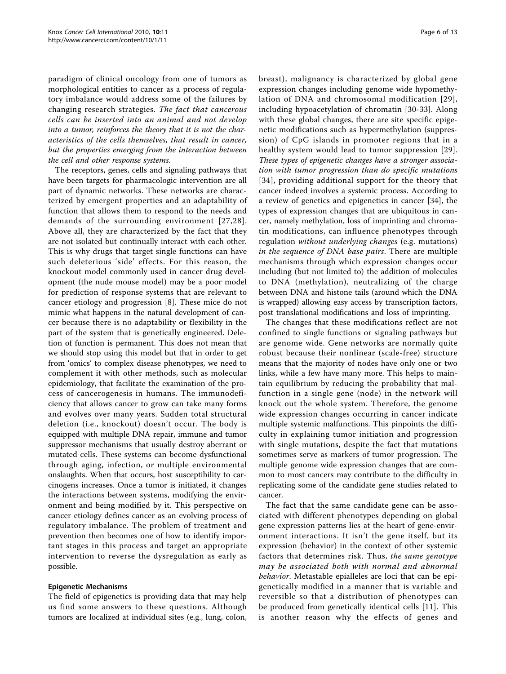paradigm of clinical oncology from one of tumors as morphological entities to cancer as a process of regulatory imbalance would address some of the failures by changing research strategies. The fact that cancerous cells can be inserted into an animal and not develop into a tumor, reinforces the theory that it is not the characteristics of the cells themselves, that result in cancer, but the properties emerging from the interaction between the cell and other response systems.

The receptors, genes, cells and signaling pathways that have been targets for pharmacologic intervention are all part of dynamic networks. These networks are characterized by emergent properties and an adaptability of function that allows them to respond to the needs and demands of the surrounding environment [[27](#page-10-0),[28\]](#page-10-0). Above all, they are characterized by the fact that they are not isolated but continually interact with each other. This is why drugs that target single functions can have such deleterious 'side' effects. For this reason, the knockout model commonly used in cancer drug development (the nude mouse model) may be a poor model for prediction of response systems that are relevant to cancer etiology and progression [\[8](#page-10-0)]. These mice do not mimic what happens in the natural development of cancer because there is no adaptability or flexibility in the part of the system that is genetically engineered. Deletion of function is permanent. This does not mean that we should stop using this model but that in order to get from 'omics' to complex disease phenotypes, we need to complement it with other methods, such as molecular epidemiology, that facilitate the examination of the process of cancerogenesis in humans. The immunodeficiency that allows cancer to grow can take many forms and evolves over many years. Sudden total structural deletion (i.e., knockout) doesn't occur. The body is equipped with multiple DNA repair, immune and tumor suppressor mechanisms that usually destroy aberrant or mutated cells. These systems can become dysfunctional through aging, infection, or multiple environmental onslaughts. When that occurs, host susceptibility to carcinogens increases. Once a tumor is initiated, it changes the interactions between systems, modifying the environment and being modified by it. This perspective on cancer etiology defines cancer as an evolving process of regulatory imbalance. The problem of treatment and prevention then becomes one of how to identify important stages in this process and target an appropriate intervention to reverse the dysregulation as early as possible.

#### Epigenetic Mechanisms

The field of epigenetics is providing data that may help us find some answers to these questions. Although tumors are localized at individual sites (e.g., lung, colon,

breast), malignancy is characterized by global gene expression changes including genome wide hypomethylation of DNA and chromosomal modification [[29\]](#page-10-0), including hypoacetylation of chromatin [[30](#page-10-0)-[33](#page-10-0)]. Along with these global changes, there are site specific epigenetic modifications such as hypermethylation (suppression) of CpG islands in promoter regions that in a healthy system would lead to tumor suppression [[29](#page-10-0)]. These types of epigenetic changes have a stronger association with tumor progression than do specific mutations [[34\]](#page-11-0), providing additional support for the theory that cancer indeed involves a systemic process. According to a review of genetics and epigenetics in cancer [\[34](#page-11-0)], the types of expression changes that are ubiquitous in cancer, namely methylation, loss of imprinting and chromatin modifications, can influence phenotypes through regulation without underlying changes (e.g. mutations) in the sequence of DNA base pairs. There are multiple mechanisms through which expression changes occur including (but not limited to) the addition of molecules to DNA (methylation), neutralizing of the charge between DNA and histone tails (around which the DNA is wrapped) allowing easy access by transcription factors, post translational modifications and loss of imprinting.

The changes that these modifications reflect are not confined to single functions or signaling pathways but are genome wide. Gene networks are normally quite robust because their nonlinear (scale-free) structure means that the majority of nodes have only one or two links, while a few have many more. This helps to maintain equilibrium by reducing the probability that malfunction in a single gene (node) in the network will knock out the whole system. Therefore, the genome wide expression changes occurring in cancer indicate multiple systemic malfunctions. This pinpoints the difficulty in explaining tumor initiation and progression with single mutations, despite the fact that mutations sometimes serve as markers of tumor progression. The multiple genome wide expression changes that are common to most cancers may contribute to the difficulty in replicating some of the candidate gene studies related to cancer.

The fact that the same candidate gene can be associated with different phenotypes depending on global gene expression patterns lies at the heart of gene-environment interactions. It isn't the gene itself, but its expression (behavior) in the context of other systemic factors that determines risk. Thus, the same genotype may be associated both with normal and abnormal behavior. Metastable epialleles are loci that can be epigenetically modified in a manner that is variable and reversible so that a distribution of phenotypes can be produced from genetically identical cells [\[11\]](#page-10-0). This is another reason why the effects of genes and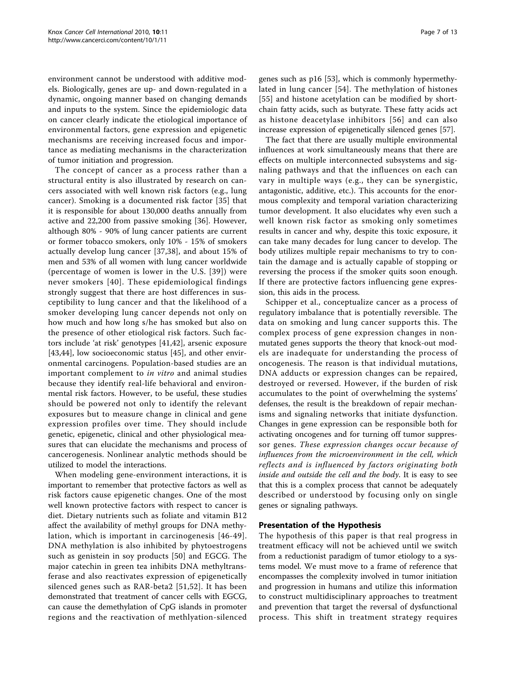environment cannot be understood with additive models. Biologically, genes are up- and down-regulated in a dynamic, ongoing manner based on changing demands and inputs to the system. Since the epidemiologic data on cancer clearly indicate the etiological importance of environmental factors, gene expression and epigenetic mechanisms are receiving increased focus and importance as mediating mechanisms in the characterization of tumor initiation and progression.

The concept of cancer as a process rather than a structural entity is also illustrated by research on cancers associated with well known risk factors (e.g., lung cancer). Smoking is a documented risk factor [\[35](#page-11-0)] that it is responsible for about 130,000 deaths annually from active and 22,200 from passive smoking [\[36](#page-11-0)]. However, although 80% - 90% of lung cancer patients are current or former tobacco smokers, only 10% - 15% of smokers actually develop lung cancer [\[37](#page-11-0),[38\]](#page-11-0), and about 15% of men and 53% of all women with lung cancer worldwide (percentage of women is lower in the U.S. [[39\]](#page-11-0)) were never smokers [[40](#page-11-0)]. These epidemiological findings strongly suggest that there are host differences in susceptibility to lung cancer and that the likelihood of a smoker developing lung cancer depends not only on how much and how long s/he has smoked but also on the presence of other etiological risk factors. Such factors include 'at risk' genotypes [\[41](#page-11-0),[42](#page-11-0)], arsenic exposure [[43,44\]](#page-11-0), low socioeconomic status [[45\]](#page-11-0), and other environmental carcinogens. Population-based studies are an important complement to in vitro and animal studies because they identify real-life behavioral and environmental risk factors. However, to be useful, these studies should be powered not only to identify the relevant exposures but to measure change in clinical and gene expression profiles over time. They should include genetic, epigenetic, clinical and other physiological measures that can elucidate the mechanisms and process of cancerogenesis. Nonlinear analytic methods should be utilized to model the interactions.

When modeling gene-environment interactions, it is important to remember that protective factors as well as risk factors cause epigenetic changes. One of the most well known protective factors with respect to cancer is diet. Dietary nutrients such as foliate and vitamin B12 affect the availability of methyl groups for DNA methylation, which is important in carcinogenesis [[46-49\]](#page-11-0). DNA methylation is also inhibited by phytoestrogens such as genistein in soy products [\[50](#page-11-0)] and EGCG. The major catechin in green tea inhibits DNA methyltransferase and also reactivates expression of epigenetically silenced genes such as RAR-beta2 [[51,52](#page-11-0)]. It has been demonstrated that treatment of cancer cells with EGCG, can cause the demethylation of CpG islands in promoter regions and the reactivation of methlyation-silenced

genes such as p16 [\[53\]](#page-11-0), which is commonly hypermethylated in lung cancer [[54\]](#page-11-0). The methylation of histones [[55](#page-11-0)] and histone acetylation can be modified by shortchain fatty acids, such as butyrate. These fatty acids act as histone deacetylase inhibitors [[56\]](#page-11-0) and can also increase expression of epigenetically silenced genes [\[57\]](#page-11-0).

The fact that there are usually multiple environmental influences at work simultaneously means that there are effects on multiple interconnected subsystems and signaling pathways and that the influences on each can vary in multiple ways (e.g., they can be synergistic, antagonistic, additive, etc.). This accounts for the enormous complexity and temporal variation characterizing tumor development. It also elucidates why even such a well known risk factor as smoking only sometimes results in cancer and why, despite this toxic exposure, it can take many decades for lung cancer to develop. The body utilizes multiple repair mechanisms to try to contain the damage and is actually capable of stopping or reversing the process if the smoker quits soon enough. If there are protective factors influencing gene expression, this aids in the process.

Schipper et al., conceptualize cancer as a process of regulatory imbalance that is potentially reversible. The data on smoking and lung cancer supports this. The complex process of gene expression changes in nonmutated genes supports the theory that knock-out models are inadequate for understanding the process of oncogenesis. The reason is that individual mutations, DNA adducts or expression changes can be repaired, destroyed or reversed. However, if the burden of risk accumulates to the point of overwhelming the systems' defenses, the result is the breakdown of repair mechanisms and signaling networks that initiate dysfunction. Changes in gene expression can be responsible both for activating oncogenes and for turning off tumor suppressor genes. These expression changes occur because of influences from the microenvironment in the cell, which reflects and is influenced by factors originating both inside and outside the cell and the body. It is easy to see that this is a complex process that cannot be adequately described or understood by focusing only on single genes or signaling pathways.

#### Presentation of the Hypothesis

The hypothesis of this paper is that real progress in treatment efficacy will not be achieved until we switch from a reductionist paradigm of tumor etiology to a systems model. We must move to a frame of reference that encompasses the complexity involved in tumor initiation and progression in humans and utilize this information to construct multidisciplinary approaches to treatment and prevention that target the reversal of dysfunctional process. This shift in treatment strategy requires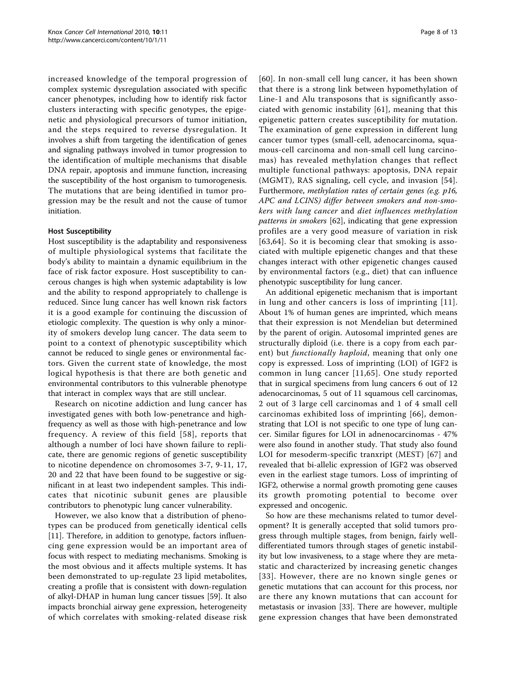increased knowledge of the temporal progression of complex systemic dysregulation associated with specific cancer phenotypes, including how to identify risk factor clusters interacting with specific genotypes, the epigenetic and physiological precursors of tumor initiation, and the steps required to reverse dysregulation. It involves a shift from targeting the identification of genes and signaling pathways involved in tumor progression to the identification of multiple mechanisms that disable DNA repair, apoptosis and immune function, increasing the susceptibility of the host organism to tumorogenesis. The mutations that are being identified in tumor progression may be the result and not the cause of tumor initiation.

#### Host Susceptibility

Host susceptibility is the adaptability and responsiveness of multiple physiological systems that facilitate the body's ability to maintain a dynamic equilibrium in the face of risk factor exposure. Host susceptibility to cancerous changes is high when systemic adaptability is low and the ability to respond appropriately to challenge is reduced. Since lung cancer has well known risk factors it is a good example for continuing the discussion of etiologic complexity. The question is why only a minority of smokers develop lung cancer. The data seem to point to a context of phenotypic susceptibility which cannot be reduced to single genes or environmental factors. Given the current state of knowledge, the most logical hypothesis is that there are both genetic and environmental contributors to this vulnerable phenotype that interact in complex ways that are still unclear.

Research on nicotine addiction and lung cancer has investigated genes with both low-penetrance and highfrequency as well as those with high-penetrance and low frequency. A review of this field [[58\]](#page-11-0), reports that although a number of loci have shown failure to replicate, there are genomic regions of genetic susceptibility to nicotine dependence on chromosomes 3-7, 9-11, 17, 20 and 22 that have been found to be suggestive or significant in at least two independent samples. This indicates that nicotinic subunit genes are plausible contributors to phenotypic lung cancer vulnerability.

However, we also know that a distribution of phenotypes can be produced from genetically identical cells [[11\]](#page-10-0). Therefore, in addition to genotype, factors influencing gene expression would be an important area of focus with respect to mediating mechanisms. Smoking is the most obvious and it affects multiple systems. It has been demonstrated to up-regulate 23 lipid metabolites, creating a profile that is consistent with down-regulation of alkyl-DHAP in human lung cancer tissues [[59\]](#page-11-0). It also impacts bronchial airway gene expression, heterogeneity of which correlates with smoking-related disease risk

[[60](#page-11-0)]. In non-small cell lung cancer, it has been shown that there is a strong link between hypomethylation of Line-1 and Alu transposons that is significantly associated with genomic instability [[61\]](#page-11-0), meaning that this epigenetic pattern creates susceptibility for mutation. The examination of gene expression in different lung cancer tumor types (small-cell, adenocarcinoma, squamous-cell carcinoma and non-small cell lung carcinomas) has revealed methylation changes that reflect multiple functional pathways: apoptosis, DNA repair (MGMT), RAS signaling, cell cycle, and invasion [[54\]](#page-11-0). Furthermore, methylation rates of certain genes (e.g. p16, APC and LCINS) differ between smokers and non-smokers with lung cancer and diet influences methylation patterns in smokers [\[62](#page-11-0)], indicating that gene expression profiles are a very good measure of variation in risk [[63,64](#page-11-0)]. So it is becoming clear that smoking is associated with multiple epigenetic changes and that these changes interact with other epigenetic changes caused by environmental factors (e.g., diet) that can influence phenotypic susceptibility for lung cancer.

An additional epigenetic mechanism that is important in lung and other cancers is loss of imprinting [[11\]](#page-10-0). About 1% of human genes are imprinted, which means that their expression is not Mendelian but determined by the parent of origin. Autosomal imprinted genes are structurally diploid (i.e. there is a copy from each parent) but *functionally haploid*, meaning that only one copy is expressed. Loss of imprinting (LOI) of IGF2 is common in lung cancer [\[11](#page-10-0)[,65](#page-11-0)]. One study reported that in surgical specimens from lung cancers 6 out of 12 adenocarcinomas, 5 out of 11 squamous cell carcinomas, 2 out of 3 large cell carcinomas and 1 of 4 small cell carcinomas exhibited loss of imprinting [[66](#page-11-0)], demonstrating that LOI is not specific to one type of lung cancer. Similar figures for LOI in adnenocarcinomas - 47% were also found in another study. That study also found LOI for mesoderm-specific tranxript (MEST) [[67](#page-11-0)] and revealed that bi-allelic expression of IGF2 was observed even in the earliest stage tumors. Loss of imprinting of IGF2, otherwise a normal growth promoting gene causes its growth promoting potential to become over expressed and oncogenic.

So how are these mechanisms related to tumor development? It is generally accepted that solid tumors progress through multiple stages, from benign, fairly welldifferentiated tumors through stages of genetic instability but low invasiveness, to a stage where they are metastatic and characterized by increasing genetic changes [[33](#page-10-0)]. However, there are no known single genes or genetic mutations that can account for this process, nor are there any known mutations that can account for metastasis or invasion [\[33](#page-10-0)]. There are however, multiple gene expression changes that have been demonstrated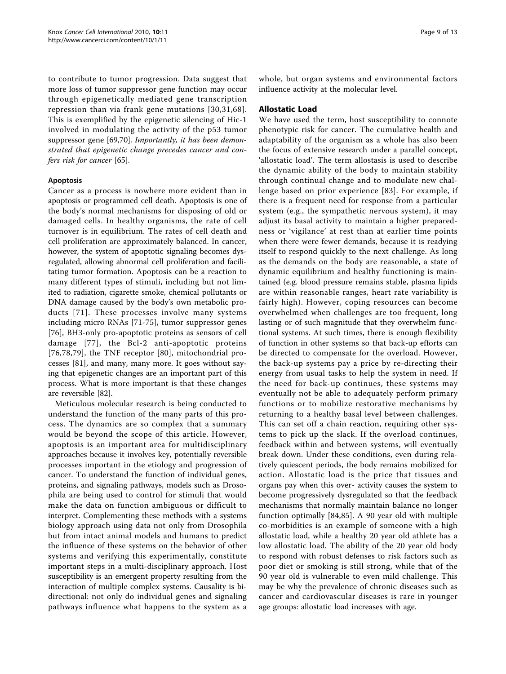to contribute to tumor progression. Data suggest that more loss of tumor suppressor gene function may occur through epigenetically mediated gene transcription repression than via frank gene mutations [[30,31,](#page-10-0)[68\]](#page-11-0). This is exemplified by the epigenetic silencing of Hic-1 involved in modulating the activity of the p53 tumor suppressor gene [[69,70](#page-11-0)]. Importantly, it has been demonstrated that epigenetic change precedes cancer and confers risk for cancer [[65\]](#page-11-0).

### Apoptosis

Cancer as a process is nowhere more evident than in apoptosis or programmed cell death. Apoptosis is one of the body's normal mechanisms for disposing of old or damaged cells. In healthy organisms, the rate of cell turnover is in equilibrium. The rates of cell death and cell proliferation are approximately balanced. In cancer, however, the system of apoptotic signaling becomes dysregulated, allowing abnormal cell proliferation and facilitating tumor formation. Apoptosis can be a reaction to many different types of stimuli, including but not limited to radiation, cigarette smoke, chemical pollutants or DNA damage caused by the body's own metabolic products [[71](#page-11-0)]. These processes involve many systems including micro RNAs [[71-75](#page-11-0)], tumor suppressor genes [[76\]](#page-11-0), BH3-only pro-apoptotic proteins as sensors of cell damage [[77](#page-11-0)], the Bcl-2 anti-apoptotic proteins [[76](#page-11-0),[78,79\]](#page-11-0), the TNF receptor [\[80\]](#page-11-0), mitochondrial processes [\[81](#page-11-0)], and many, many more. It goes without saying that epigenetic changes are an important part of this process. What is more important is that these changes are reversible [[82](#page-11-0)].

Meticulous molecular research is being conducted to understand the function of the many parts of this process. The dynamics are so complex that a summary would be beyond the scope of this article. However, apoptosis is an important area for multidisciplinary approaches because it involves key, potentially reversible processes important in the etiology and progression of cancer. To understand the function of individual genes, proteins, and signaling pathways, models such as Drosophila are being used to control for stimuli that would make the data on function ambiguous or difficult to interpret. Complementing these methods with a systems biology approach using data not only from Drosophila but from intact animal models and humans to predict the influence of these systems on the behavior of other systems and verifying this experimentally, constitute important steps in a multi-disciplinary approach. Host susceptibility is an emergent property resulting from the interaction of multiple complex systems. Causality is bidirectional: not only do individual genes and signaling pathways influence what happens to the system as a whole, but organ systems and environmental factors influence activity at the molecular level.

## Allostatic Load

We have used the term, host susceptibility to connote phenotypic risk for cancer. The cumulative health and adaptability of the organism as a whole has also been the focus of extensive research under a parallel concept, 'allostatic load'. The term allostasis is used to describe the dynamic ability of the body to maintain stability through continual change and to modulate new challenge based on prior experience [[83](#page-11-0)]. For example, if there is a frequent need for response from a particular system (e.g., the sympathetic nervous system), it may adjust its basal activity to maintain a higher preparedness or 'vigilance' at rest than at earlier time points when there were fewer demands, because it is readying itself to respond quickly to the next challenge. As long as the demands on the body are reasonable, a state of dynamic equilibrium and healthy functioning is maintained (e.g. blood pressure remains stable, plasma lipids are within reasonable ranges, heart rate variability is fairly high). However, coping resources can become overwhelmed when challenges are too frequent, long lasting or of such magnitude that they overwhelm functional systems. At such times, there is enough flexibility of function in other systems so that back-up efforts can be directed to compensate for the overload. However, the back-up systems pay a price by re-directing their energy from usual tasks to help the system in need. If the need for back-up continues, these systems may eventually not be able to adequately perform primary functions or to mobilize restorative mechanisms by returning to a healthy basal level between challenges. This can set off a chain reaction, requiring other systems to pick up the slack. If the overload continues, feedback within and between systems, will eventually break down. Under these conditions, even during relatively quiescent periods, the body remains mobilized for action. Allostatic load is the price that tissues and organs pay when this over- activity causes the system to become progressively dysregulated so that the feedback mechanisms that normally maintain balance no longer function optimally [\[84](#page-11-0),[85\]](#page-12-0). A 90 year old with multiple co-morbidities is an example of someone with a high allostatic load, while a healthy 20 year old athlete has a low allostatic load. The ability of the 20 year old body to respond with robust defenses to risk factors such as poor diet or smoking is still strong, while that of the 90 year old is vulnerable to even mild challenge. This may be why the prevalence of chronic diseases such as cancer and cardiovascular diseases is rare in younger age groups: allostatic load increases with age.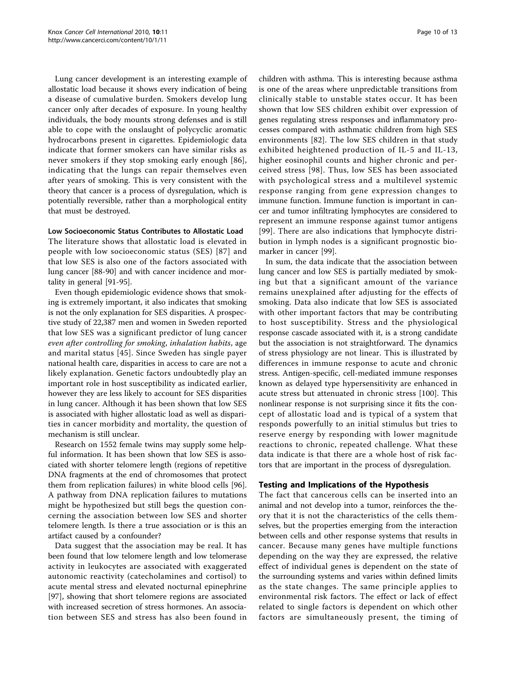Lung cancer development is an interesting example of allostatic load because it shows every indication of being a disease of cumulative burden. Smokers develop lung cancer only after decades of exposure. In young healthy individuals, the body mounts strong defenses and is still able to cope with the onslaught of polycyclic aromatic hydrocarbons present in cigarettes. Epidemiologic data indicate that former smokers can have similar risks as never smokers if they stop smoking early enough [[86](#page-12-0)], indicating that the lungs can repair themselves even after years of smoking. This is very consistent with the theory that cancer is a process of dysregulation, which is potentially reversible, rather than a morphological entity that must be destroyed.

#### Low Socioeconomic Status Contributes to Allostatic Load

The literature shows that allostatic load is elevated in people with low socioeconomic status (SES) [[87\]](#page-12-0) and that low SES is also one of the factors associated with lung cancer [[88-90](#page-12-0)] and with cancer incidence and mortality in general [\[91-95](#page-12-0)].

Even though epidemiologic evidence shows that smoking is extremely important, it also indicates that smoking is not the only explanation for SES disparities. A prospective study of 22,387 men and women in Sweden reported that low SES was a significant predictor of lung cancer even after controlling for smoking, inhalation habits, age and marital status [[45](#page-11-0)]. Since Sweden has single payer national health care, disparities in access to care are not a likely explanation. Genetic factors undoubtedly play an important role in host susceptibility as indicated earlier, however they are less likely to account for SES disparities in lung cancer. Although it has been shown that low SES is associated with higher allostatic load as well as disparities in cancer morbidity and mortality, the question of mechanism is still unclear.

Research on 1552 female twins may supply some helpful information. It has been shown that low SES is associated with shorter telomere length (regions of repetitive DNA fragments at the end of chromosomes that protect them from replication failures) in white blood cells [\[96](#page-12-0)]. A pathway from DNA replication failures to mutations might be hypothesized but still begs the question concerning the association between low SES and shorter telomere length. Is there a true association or is this an artifact caused by a confounder?

Data suggest that the association may be real. It has been found that low telomere length and low telomerase activity in leukocytes are associated with exaggerated autonomic reactivity (catecholamines and cortisol) to acute mental stress and elevated nocturnal epinephrine [[97\]](#page-12-0), showing that short telomere regions are associated with increased secretion of stress hormones. An association between SES and stress has also been found in

children with asthma. This is interesting because asthma is one of the areas where unpredictable transitions from clinically stable to unstable states occur. It has been shown that low SES children exhibit over expression of genes regulating stress responses and inflammatory processes compared with asthmatic children from high SES environments [\[82](#page-11-0)]. The low SES children in that study exhibited heightened production of IL-5 and IL-13, higher eosinophil counts and higher chronic and perceived stress [[98\]](#page-12-0). Thus, low SES has been associated with psychological stress and a multilevel systemic response ranging from gene expression changes to immune function. Immune function is important in cancer and tumor infiltrating lymphocytes are considered to represent an immune response against tumor antigens [[99](#page-12-0)]. There are also indications that lymphocyte distribution in lymph nodes is a significant prognostic biomarker in cancer [\[99\]](#page-12-0).

In sum, the data indicate that the association between lung cancer and low SES is partially mediated by smoking but that a significant amount of the variance remains unexplained after adjusting for the effects of smoking. Data also indicate that low SES is associated with other important factors that may be contributing to host susceptibility. Stress and the physiological response cascade associated with it, is a strong candidate but the association is not straightforward. The dynamics of stress physiology are not linear. This is illustrated by differences in immune response to acute and chronic stress. Antigen-specific, cell-mediated immune responses known as delayed type hypersensitivity are enhanced in acute stress but attenuated in chronic stress [\[100](#page-12-0)]. This nonlinear response is not surprising since it fits the concept of allostatic load and is typical of a system that responds powerfully to an initial stimulus but tries to reserve energy by responding with lower magnitude reactions to chronic, repeated challenge. What these data indicate is that there are a whole host of risk factors that are important in the process of dysregulation.

#### Testing and Implications of the Hypothesis

The fact that cancerous cells can be inserted into an animal and not develop into a tumor, reinforces the theory that it is not the characteristics of the cells themselves, but the properties emerging from the interaction between cells and other response systems that results in cancer. Because many genes have multiple functions depending on the way they are expressed, the relative effect of individual genes is dependent on the state of the surrounding systems and varies within defined limits as the state changes. The same principle applies to environmental risk factors. The effect or lack of effect related to single factors is dependent on which other factors are simultaneously present, the timing of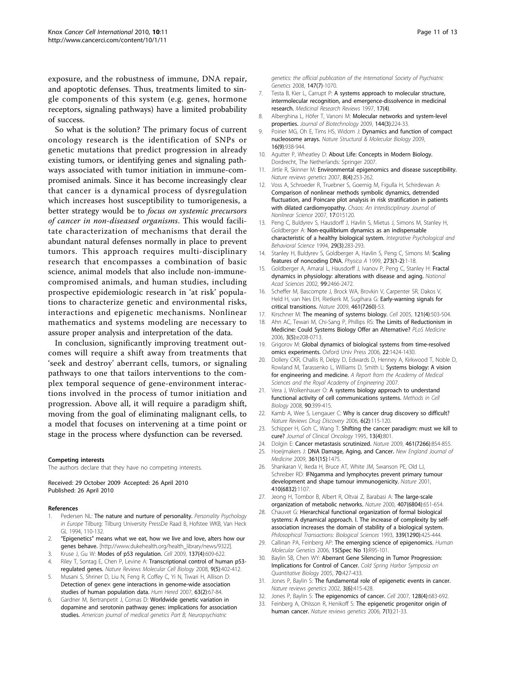<span id="page-10-0"></span>exposure, and the robustness of immune, DNA repair, and apoptotic defenses. Thus, treatments limited to single components of this system (e.g. genes, hormone receptors, signaling pathways) have a limited probability of success.

So what is the solution? The primary focus of current oncology research is the identification of SNPs or genetic mutations that predict progression in already existing tumors, or identifying genes and signaling pathways associated with tumor initiation in immune-compromised animals. Since it has become increasingly clear that cancer is a dynamical process of dysregulation which increases host susceptibility to tumorigenesis, a better strategy would be to focus on systemic precursors of cancer in non-diseased organisms. This would facilitate characterization of mechanisms that derail the abundant natural defenses normally in place to prevent tumors. This approach requires multi-disciplinary research that encompasses a combination of basic science, animal models that also include non-immunecompromised animals, and human studies, including prospective epidemiologic research in 'at risk' populations to characterize genetic and environmental risks, interactions and epigenetic mechanisms. Nonlinear mathematics and systems modeling are necessary to assure proper analysis and interpretation of the data.

In conclusion, significantly improving treatment outcomes will require a shift away from treatments that 'seek and destroy' aberrant cells, tumors, or signaling pathways to one that tailors interventions to the complex temporal sequence of gene-environment interactions involved in the process of tumor initiation and progression. Above all, it will require a paradigm shift, moving from the goal of eliminating malignant cells, to a model that focuses on intervening at a time point or stage in the process where dysfunction can be reversed.

#### Competing interests

The authors declare that they have no competing interests.

Received: 29 October 2009 Accepted: 26 April 2010 Published: 26 April 2010

#### References

- Pedersen NL: The nature and nurture of personality. Personality Psychology in Europe Tilburg: Tilburg University PressDe Raad B, Hofstee WKB, Van Heck GL 1994, 110-132.
- 2. "Epigenetics" means what we eat, how we live and love, alters how our genes behave. [\[http://www.dukehealth.org/health\\_library/news/9322](http://www.dukehealth.org/health_library/news/9322)].
- 3. Kruse J, Gu W: [Modes of p53 regulation.](http://www.ncbi.nlm.nih.gov/pubmed/19450511?dopt=Abstract) Cell 2009, 137(4):609-622.
- 4. Riley T, Sontag E, Chen P, Levine A: [Transcriptional control of human p53](http://www.ncbi.nlm.nih.gov/pubmed/18431400?dopt=Abstract) [regulated genes.](http://www.ncbi.nlm.nih.gov/pubmed/18431400?dopt=Abstract) Nature Reviews Molecular Cell Biology 2008, 9(5):402-412.
- 5. Musani S, Shriner D, Liu N, Feng R, Coffey C, Yi N, Tiwari H, Allison D: [Detection of gene× gene interactions in genome-wide association](http://www.ncbi.nlm.nih.gov/pubmed/17283436?dopt=Abstract) [studies of human population data.](http://www.ncbi.nlm.nih.gov/pubmed/17283436?dopt=Abstract) Hum Hered 2007, 63(2):67-84.
- Gardner M, Bertranpetit J, Comas D: Worldwide genetic variation in dopamine and serotonin pathway genes: implications for association studies. American journal of medical genetics Part B, Neuropsychiatric

genetics: the official publication of the International Society of Psychiatric Genetics 2008, 147(7)-1070.

- 7. Testa B, Kier L, Carrupt P: [A systems approach to molecular structure,](http://www.ncbi.nlm.nih.gov/pubmed/9211395?dopt=Abstract) [intermolecular recognition, and emergence-dissolvence in medicinal](http://www.ncbi.nlm.nih.gov/pubmed/9211395?dopt=Abstract) [research.](http://www.ncbi.nlm.nih.gov/pubmed/9211395?dopt=Abstract) Medicinal Research Reviews 1997, 17(4).
- 8. Alberghina L, Höfer T, Vanoni M: [Molecular networks and system-level](http://www.ncbi.nlm.nih.gov/pubmed/19616593?dopt=Abstract) [properties.](http://www.ncbi.nlm.nih.gov/pubmed/19616593?dopt=Abstract) Journal of Biotechnology 2009, 144(3):224-33.
- 9. Poirier MG, Oh E, Tims HS, Widom J: [Dynamics and function of compact](http://www.ncbi.nlm.nih.gov/pubmed/19701201?dopt=Abstract) [nucleosome arrays.](http://www.ncbi.nlm.nih.gov/pubmed/19701201?dopt=Abstract) Nature Structural & Molecular Biology 2009, 16(9):938-944.
- 10. Agutter P, Wheatley D: About Life: Concepts in Modern Biology. Dordrecht, The Netherlands: Springer 2007.
- 11. Jirtle R, Skinner M: [Environmental epigenomics and disease susceptibility.](http://www.ncbi.nlm.nih.gov/pubmed/17363974?dopt=Abstract) Nature reviews genetics 2007, 8(4):253-262.
- 12. Voss A, Schroeder R, Truebner S, Goernig M, Figulla H, Schirdewan A: Comparison of nonlinear methods symbolic dynamics, detrended fluctuation, and Poincare plot analysis in risk stratification in patients with dilated cardiomyopathy. Chaos: An Interdisciplinary Journal of Nonlinear Science 2007, 17:015120.
- 13. Peng C, Buldyrev S, Hausdorff J, Havlin S, Mietus J, Simons M, Stanley H, Goldberger A: Non-equilibrium dynamics as an indispensable characteristic of a healthy biological system. Integrative Psychological and Behavioral Science 1994, 29(3):283-293.
- 14. Stanley H, Buldyrev S, Goldberger A, Havlin S, Peng C, Simons M: [Scaling](http://www.ncbi.nlm.nih.gov/pubmed/11542924?dopt=Abstract) [features of noncoding DNA.](http://www.ncbi.nlm.nih.gov/pubmed/11542924?dopt=Abstract) Physica A 1999, 273(1-2):1-18.
- 15. Goldberger A, Amaral L, Hausdorff J, Ivanov P, Peng C, Stanley H: Fractal dynamics in physiology: alterations with disease and aging. National Acad Sciences 2002, 99:2466-2472.
- 16. Scheffer M, Bascompte J, Brock WA, Brovkin V, Carpenter SR, Dakos V, Held H, van Nes EH, Rietkerk M, Sugihara G: Early-warning signals for critical transitions. Nature 2009, 461(7260)-53.
- 17. Kirschner M: [The meaning of systems biology.](http://www.ncbi.nlm.nih.gov/pubmed/15907462?dopt=Abstract) Cell 2005, 121(4):503-504.
- 18. Ahn AC, Tewari M, Chi-Sang P, Phillips RS: [The Limits of Reductionism in](http://www.ncbi.nlm.nih.gov/pubmed/16681415?dopt=Abstract) [Medicine: Could Systems Biology Offer an Alternative?](http://www.ncbi.nlm.nih.gov/pubmed/16681415?dopt=Abstract) PLoS Medicine 2006, 3(5):e208-0713.
- 19. Grigorov M: [Global dynamics of biological systems from time-resolved](http://www.ncbi.nlm.nih.gov/pubmed/16585068?dopt=Abstract) [omics experiments.](http://www.ncbi.nlm.nih.gov/pubmed/16585068?dopt=Abstract) Oxford Univ Press 2006, 22:1424-1430.
- 20. Dollery CKR, Challis R, Delpy D, Edwards D, Henney A, Kirkwood T, Noble D, Rowland M, Tarassenko L, Williams D, Smith L: Systems biology: A vision for engineering and medicine. A Report from the Academy of Medical Sciences and the Royal Academy of Engineering 2007.
- 21. Vera J, Wolkenhauer O: [A systems biology approach to understand](http://www.ncbi.nlm.nih.gov/pubmed/19195559?dopt=Abstract) [functional activity of cell communications systems.](http://www.ncbi.nlm.nih.gov/pubmed/19195559?dopt=Abstract) Methods in Cell Biology 2008, 90:399-415.
- 22. Kamb A, Wee S, Lengauer C: [Why is cancer drug discovery so difficult?](http://www.ncbi.nlm.nih.gov/pubmed/17159925?dopt=Abstract) Nature Reviews Drug Discovery 2006, 6(2):115-120.
- 23. Schipper H, Goh C, Wang T: [Shifting the cancer paradigm: must we kill to](http://www.ncbi.nlm.nih.gov/pubmed/7707104?dopt=Abstract) [cure?](http://www.ncbi.nlm.nih.gov/pubmed/7707104?dopt=Abstract) Journal of Clinical Oncology 1995, 13(4):801.
- 24. Dolgin E: [Cancer metastasis scrutinized.](http://www.ncbi.nlm.nih.gov/pubmed/19829337?dopt=Abstract) Nature 2009, 461(7266):854-855.
- 25. Hoeijmakers J: [DNA Damage, Aging, and Cancer.](http://www.ncbi.nlm.nih.gov/pubmed/19812404?dopt=Abstract) New England Journal of Medicine 2009, 361(15):1475.
- 26. Shankaran V, Ikeda H, Bruce AT, White JM, Swanson PE, Old LJ, Schreiber RD: [IFNgamma and lymphocytes prevent primary tumour](http://www.ncbi.nlm.nih.gov/pubmed/11323675?dopt=Abstract) [development and shape tumour immunogenicity.](http://www.ncbi.nlm.nih.gov/pubmed/11323675?dopt=Abstract) Nature 2001, 410(6832):1107.
- 27. Jeong H, Tombor B, Albert R, Oltvai Z, Barabasi A: [The large-scale](http://www.ncbi.nlm.nih.gov/pubmed/11034217?dopt=Abstract) [organization of metabolic networks.](http://www.ncbi.nlm.nih.gov/pubmed/11034217?dopt=Abstract) Nature 2000, 407(6804):651-654.
- 28. Chauvet G: Hierarchical functional organization of formal biological systems: A dynamical approach. I. The increase of complexity by selfassociation increases the domain of stability of a biological system. Philosophical Transactions: Biological Sciences 1993, 339(1290):425-444.
- 29. Callinan PA, Feinberg AP: [The emerging science of epigenomics.](http://www.ncbi.nlm.nih.gov/pubmed/16651376?dopt=Abstract) Human Molecular Genetics 2006, 15(Spec No 1):R95-101.
- 30. Baylin SB, Chen WY: [Aberrant Gene Silencing in Tumor Progression:](http://www.ncbi.nlm.nih.gov/pubmed/16869780?dopt=Abstract) [Implications for Control of Cancer.](http://www.ncbi.nlm.nih.gov/pubmed/16869780?dopt=Abstract) Cold Spring Harbor Symposia on Quantitative Biology 2005, 70:427-433.
- 31. Jones P, Baylin S: [The fundamental role of epigenetic events in cancer.](http://www.ncbi.nlm.nih.gov/pubmed/12042769?dopt=Abstract) Nature reviews genetics 2002, 3(6):415-428.
- 32. Jones P, Baylin S: [The epigenomics of cancer.](http://www.ncbi.nlm.nih.gov/pubmed/17320506?dopt=Abstract) Cell 2007, 128(4):683-692.
- 33. Feinberg A, Ohlsson R, Henikoff S: [The epigenetic progenitor origin of](http://www.ncbi.nlm.nih.gov/pubmed/16369569?dopt=Abstract) [human cancer.](http://www.ncbi.nlm.nih.gov/pubmed/16369569?dopt=Abstract) Nature reviews genetics 2006, 7(1):21-33.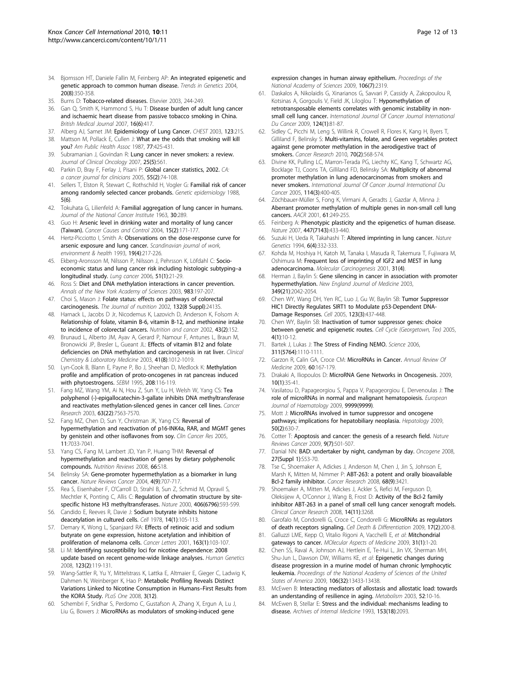- <span id="page-11-0"></span>34. Biornsson HT, Daniele Fallin M, Feinberg AP: [An integrated epigenetic and](http://www.ncbi.nlm.nih.gov/pubmed/15262407?dopt=Abstract) [genetic approach to common human disease.](http://www.ncbi.nlm.nih.gov/pubmed/15262407?dopt=Abstract) Trends in Genetics 2004, 20(8):350-358.
- 35. Burns D: [Tobacco-related diseases.](http://www.ncbi.nlm.nih.gov/pubmed/14702858?dopt=Abstract) Elsevier 2003, 244-249.
- 36. Gan Q, Smith K, Hammond S, Hu T: Disease burden of adult lung cancer and ischaemic heart disease from passive tobacco smoking in China. British Medical Journal 2007, 16(6):417.
- 37. Alberg AJ, Samet JM: [Epidemiology of Lung Cancer.](http://www.ncbi.nlm.nih.gov/pubmed/12527563?dopt=Abstract) CHEST 2003, 123:21S.
- Mattson M, Pollack E, Cullen J: What are the odds that smoking will kill you? Am Public Health Assoc 1987, 77:425-431.
- 39. Subramanian J, Govindan R: [Lung cancer in never smokers: a review.](http://www.ncbi.nlm.nih.gov/pubmed/17290066?dopt=Abstract) Journal of Clinical Oncology 2007, 25(5):561.
- 40. Parkin D, Bray F, Ferlay J, Pisani P: [Global cancer statistics, 2002.](http://www.ncbi.nlm.nih.gov/pubmed/15761078?dopt=Abstract) CA: a cancer journal for clinicians 2005, 55(2):74-108.
- 41. Sellers T, Elston R, Stewart C, Rothschild H, Vogler G: [Familial risk of cancer](http://www.ncbi.nlm.nih.gov/pubmed/3209052?dopt=Abstract) [among randomly selected cancer probands.](http://www.ncbi.nlm.nih.gov/pubmed/3209052?dopt=Abstract) Genetic epidemiology 1988, 5(6).
- 42. Tokuhata G, Lilienfeld A: [Familial aggregation of lung cancer in humans.](http://www.ncbi.nlm.nih.gov/pubmed/13985327?dopt=Abstract) Journal of the National Cancer Institute 1963, 30:289.
- 43. Guo H: [Arsenic level in drinking water and mortality of lung cancer](http://www.ncbi.nlm.nih.gov/pubmed/15017129?dopt=Abstract) [\(Taiwan\).](http://www.ncbi.nlm.nih.gov/pubmed/15017129?dopt=Abstract) Cancer Causes and Control 2004, 15(2):171-177.
- 44. Hertz-Picciotto I, Smith A: [Observations on the dose-response curve for](http://www.ncbi.nlm.nih.gov/pubmed/8235510?dopt=Abstract) [arsenic exposure and lung cancer.](http://www.ncbi.nlm.nih.gov/pubmed/8235510?dopt=Abstract) Scandinavian journal of work, environment & health 1993, 19(4):217-226.
- 45. Ekberg-Aronsson M, Nilsson P, Nilsson J, Pehrsson K, Löfdahl C; [Socio](http://www.ncbi.nlm.nih.gov/pubmed/16337709?dopt=Abstract)[economic status and lung cancer risk including histologic subtyping](http://www.ncbi.nlm.nih.gov/pubmed/16337709?dopt=Abstract)–a [longitudinal study.](http://www.ncbi.nlm.nih.gov/pubmed/16337709?dopt=Abstract) Lung cancer 2006, 51(1):21-29.
- 46. Ross S: [Diet and DNA methylation interactions in cancer prevention.](http://www.ncbi.nlm.nih.gov/pubmed/12724224?dopt=Abstract) Annals of the New York Academy of Sciences 2003, 983:197-207.
- 47. Choi S, Mason J: [Folate status: effects on pathways of colorectal](http://www.ncbi.nlm.nih.gov/pubmed/12163703?dopt=Abstract) [carcinogenesis.](http://www.ncbi.nlm.nih.gov/pubmed/12163703?dopt=Abstract) The Journal of nutrition 2002, 132(8 Suppl):2413S.
- 48. Harnack L, Jacobs D Jr, Nicodemus K, Lazovich D, Anderson K, Folsom A: [Relationship of folate, vitamin B-6, vitamin B-12, and methionine intake](http://www.ncbi.nlm.nih.gov/pubmed/12588695?dopt=Abstract) [to incidence of colorectal cancers.](http://www.ncbi.nlm.nih.gov/pubmed/12588695?dopt=Abstract) Nutrition and cancer 2002, 43(2):152.
- 49. Brunaud L, Alberto JM, Ayav A, Gerard P, Namour F, Antunes L, Braun M, Bronowicki JP, Bresler L, Gueant JL: Effects of vitamin B12 and folate deficiencies on DNA methylation and carcinogenesis in rat liver. Clinical Chemistry & Laboratory Medicine 2003, 41(8):1012-1019.
- 50. Lyn-Cook B, Blann E, Payne P, Bo J, Sheehan D, Medlock K: Methylation profile and amplification of proto-oncogenes in rat pancreas induced with phytoestrogens. SEBM 1995, 208:116-119.
- 51. Fang MZ, Wang YM, Ai N, Hou Z, Sun Y, Lu H, Welsh W, Yang CS: [Tea](http://www.ncbi.nlm.nih.gov/pubmed/14633667?dopt=Abstract) [polyphenol \(-\)-epigallocatechin-3-gallate inhibits DNA methyltransferase](http://www.ncbi.nlm.nih.gov/pubmed/14633667?dopt=Abstract) [and reactivates methylation-silenced genes in cancer cell lines.](http://www.ncbi.nlm.nih.gov/pubmed/14633667?dopt=Abstract) Cancer Research 2003, 63(22):7563-7570.
- 52. Fang MZ, Chen D, Sun Y, Christman JK, Yang CS: [Reversal of](http://www.ncbi.nlm.nih.gov/pubmed/16203797?dopt=Abstract) [hypermethylation and reactivation of p16-INK4a, RAR, and MGMT genes](http://www.ncbi.nlm.nih.gov/pubmed/16203797?dopt=Abstract) [by genistein and other isoflavones from soy.](http://www.ncbi.nlm.nih.gov/pubmed/16203797?dopt=Abstract) Clin Cancer Res 2005, 11:7033-7041.
- 53. Yang CS, Fang M, Lambert JD, Yan P, Huang THM: [Reversal of](http://www.ncbi.nlm.nih.gov/pubmed/18673481?dopt=Abstract) [hypermethylation and reactivation of genes by dietary polyphenolic](http://www.ncbi.nlm.nih.gov/pubmed/18673481?dopt=Abstract) [compounds.](http://www.ncbi.nlm.nih.gov/pubmed/18673481?dopt=Abstract) Nutrition Reviews 2008, 66:S18.
- 54. Belinsky SA: [Gene-promoter hypermethylation as a biomarker in lung](http://www.ncbi.nlm.nih.gov/pubmed/15343277?dopt=Abstract) [cancer.](http://www.ncbi.nlm.nih.gov/pubmed/15343277?dopt=Abstract) Nature Reviews Cancer 2004, 4(9):707-717.
- 55. Rea S, Eisenhaber F, O'Carroll D, Strahl B, Sun Z, Schmid M, Opravil S, Mechtler K, Ponting C, Allis C: [Regulation of chromatin structure by site](http://www.ncbi.nlm.nih.gov/pubmed/10949293?dopt=Abstract)[specific histone H3 methyltransferases.](http://www.ncbi.nlm.nih.gov/pubmed/10949293?dopt=Abstract) Nature 2000, 406(6796):593-599.
- 56. Candido E, Reeves R, Davie J: [Sodium butyrate inhibits histone](http://www.ncbi.nlm.nih.gov/pubmed/667927?dopt=Abstract) [deacetylation in cultured cells.](http://www.ncbi.nlm.nih.gov/pubmed/667927?dopt=Abstract) Cell 1978, 14(1):105-113.
- 57. Demary K, Wong L, Spanjaard RA: [Effects of retinoic acid and sodium](http://www.ncbi.nlm.nih.gov/pubmed/11163113?dopt=Abstract) [butyrate on gene expression, histone acetylation and inhibition of](http://www.ncbi.nlm.nih.gov/pubmed/11163113?dopt=Abstract) [proliferation of melanoma cells.](http://www.ncbi.nlm.nih.gov/pubmed/11163113?dopt=Abstract) Cancer Letters 2001, 163(1):103-107.
- 58. Li M: [Identifying susceptibility loci for nicotine dependence: 2008](http://www.ncbi.nlm.nih.gov/pubmed/18205015?dopt=Abstract) [update based on recent genome-wide linkage analyses.](http://www.ncbi.nlm.nih.gov/pubmed/18205015?dopt=Abstract) Human Genetics 2008, 123(2):119-131.
- 59. Wang-Sattler R, Yu Y, Mittelstrass K, Lattka E, Altmaier E, Gieger C, Ladwig K, Dahmen N, Weinberger K, Hao P: [Metabolic Profiling Reveals Distinct](http://www.ncbi.nlm.nih.gov/pubmed/19057651?dopt=Abstract) [Variations Linked to Nicotine Consumption in Humans](http://www.ncbi.nlm.nih.gov/pubmed/19057651?dopt=Abstract)–First Results from [the KORA Study.](http://www.ncbi.nlm.nih.gov/pubmed/19057651?dopt=Abstract) PLoS One 2008, 3(12).
- 60. Schembri F, Sridhar S, Perdomo C, Gustafson A, Zhang X, Ergun A, Lu J, Liu G, Bowers J: MicroRNAs as modulators of smoking-induced gene

expression changes in human airway epithelium. Proceedings of the National Academy of Sciences 2009, 106(7):2319.

- 61. Daskalos A, Nikolaidis G, Xinarianos G, Savvari P, Cassidy A, Zakopoulou R, Kotsinas A, Gorgoulis V, Field JK, Liloglou T: [Hypomethylation of](http://www.ncbi.nlm.nih.gov/pubmed/18823011?dopt=Abstract) [retrotransposable elements correlates with genomic instability in non](http://www.ncbi.nlm.nih.gov/pubmed/18823011?dopt=Abstract)[small cell lung cancer.](http://www.ncbi.nlm.nih.gov/pubmed/18823011?dopt=Abstract) International Journal Of Cancer Journal International Du Cancer 2009, 124(1):81-87.
- 62. Sidley C, Picchi M, Leng S, Willink R, Crowell R, Flores K, Kang H, Byers T, Gilliland F, Belinsky S: [Multi-vitamins, folate, and Green vegetables protect](http://www.ncbi.nlm.nih.gov/pubmed/20068159?dopt=Abstract) [against gene promoter methylation in the aerodigestive tract of](http://www.ncbi.nlm.nih.gov/pubmed/20068159?dopt=Abstract) [smokers.](http://www.ncbi.nlm.nih.gov/pubmed/20068159?dopt=Abstract) Cancer Research 2010, 70(2):568-574.
- 63. Divine KK, Pulling LC, Marron-Terada PG, Liechty KC, Kang T, Schwartz AG, Bocklage TJ, Coons TA, Gilliland FD, Belinsky SA: [Multiplicity of abnormal](http://www.ncbi.nlm.nih.gov/pubmed/15578700?dopt=Abstract) [promoter methylation in lung adenocarcinomas from smokers and](http://www.ncbi.nlm.nih.gov/pubmed/15578700?dopt=Abstract) [never smokers.](http://www.ncbi.nlm.nih.gov/pubmed/15578700?dopt=Abstract) International Journal Of Cancer Journal International Du Cancer 2005, 114(3):400-405.
- 64. Zöchbauer-Müller S, Fong K, Virmani A, Geradts J, Gazdar A, Minna J: Aberrant promoter methylation of multiple genes in non-small cell lung cancers. AACR 2001, 61:249-255.
- 65. Feinberg A: [Phenotypic plasticity and the epigenetics of human disease.](http://www.ncbi.nlm.nih.gov/pubmed/17522677?dopt=Abstract) Nature 2007, 447(7143):433-440.
- 66. Suzuki H, Ueda R, Takahashi T: [Altered imprinting in lung cancer.](http://www.ncbi.nlm.nih.gov/pubmed/8054970?dopt=Abstract) Nature Genetics 1994, 6(4):332-333.
- 67. Kohda M, Hoshiya H, Katoh M, Tanaka I, Masuda R, Takemura T, Fujiwara M, Oshimura M: [Frequent loss of imprinting of IGF2 and MEST in lung](http://www.ncbi.nlm.nih.gov/pubmed/11536368?dopt=Abstract) [adenocarcinoma.](http://www.ncbi.nlm.nih.gov/pubmed/11536368?dopt=Abstract) Molecular Carcinogenesis 2001, 31(4).
- 68. Herman J, Baylin S: [Gene silencing in cancer in association with promoter](http://www.ncbi.nlm.nih.gov/pubmed/14627790?dopt=Abstract) [hypermethylation.](http://www.ncbi.nlm.nih.gov/pubmed/14627790?dopt=Abstract) New England Journal of Medicine 2003, 349(21):2042-2054.
- 69. Chen WY, Wang DH, Yen RC, Luo J, Gu W, Baylin SB: [Tumor Suppressor](http://www.ncbi.nlm.nih.gov/pubmed/16269335?dopt=Abstract) [HIC1 Directly Regulates SIRT1 to Modulate p53-Dependent DNA-](http://www.ncbi.nlm.nih.gov/pubmed/16269335?dopt=Abstract)[Damage Responses.](http://www.ncbi.nlm.nih.gov/pubmed/16269335?dopt=Abstract) Cell 2005, 123(3):437-448.
- 70. Chen WY, Baylin SB: [Inactivation of tumor suppressor genes: choice](http://www.ncbi.nlm.nih.gov/pubmed/15611624?dopt=Abstract) [between genetic and epigenetic routes.](http://www.ncbi.nlm.nih.gov/pubmed/15611624?dopt=Abstract) Cell Cycle (Georgetown, Tex) 2005, 4(1):10-12.
- 71. Bartek J, Lukas J: [The Stress of Finding NEMO.](http://www.ncbi.nlm.nih.gov/pubmed/16497923?dopt=Abstract) Science 2006, 311(5764):1110-1111.
- 72. Garzon R, Calin GA, Croce CM: [MicroRNAs in Cancer.](http://www.ncbi.nlm.nih.gov/pubmed/19630570?dopt=Abstract) Annual Review Of Medicine 2009, 60:167-179
- 73. Drakaki A, Iliopoulos D: [MicroRNA Gene Networks in Oncogenesis.](http://www.ncbi.nlm.nih.gov/pubmed/19721809?dopt=Abstract) 2009, 10(1):35-41.
- 74. Vasilatou D, Papageorgiou S, Pappa V, Papageorgiou E, Dervenoulas J: The role of microRNAs in normal and malignant hematopoiesis. European Journal of Haematology 2009, 9999(9999).
- 75. Mott J: [MicroRNAs involved in tumor suppressor and oncogene](http://www.ncbi.nlm.nih.gov/pubmed/19585622?dopt=Abstract) [pathways; implications for hepatobiliary neoplasia.](http://www.ncbi.nlm.nih.gov/pubmed/19585622?dopt=Abstract) Hepatology 2009, 50(2):630-7.
- 76. Cotter T: [Apoptosis and cancer: the genesis of a research field.](http://www.ncbi.nlm.nih.gov/pubmed/19550425?dopt=Abstract) Nature Reviews Cancer 2009, 9(7):501-507.
- 77. Danial NN: [BAD: undertaker by night, candyman by day.](http://www.ncbi.nlm.nih.gov/pubmed/19641507?dopt=Abstract) Oncogene 2008, 27(Suppl 1):S53-70.
- 78. Tse C, Shoemaker A, Adickes J, Anderson M, Chen J, Jin S, Johnson E, Marsh K, Mitten M, Nimmer P: [ABT-263: a potent and orally bioavailable](http://www.ncbi.nlm.nih.gov/pubmed/18451170?dopt=Abstract) [Bcl-2 family inhibitor.](http://www.ncbi.nlm.nih.gov/pubmed/18451170?dopt=Abstract) Cancer Research 2008, 68(9):3421.
- 79. Shoemaker A, Mitten M, Adickes J, Ackler S, Refici M, Ferguson D, Oleksijew A, O'Connor J, Wang B, Frost D: [Activity of the Bcl-2 family](http://www.ncbi.nlm.nih.gov/pubmed/18519752?dopt=Abstract) [inhibitor ABT-263 in a panel of small cell lung cancer xenograft models.](http://www.ncbi.nlm.nih.gov/pubmed/18519752?dopt=Abstract) Clinical Cancer Research 2008, 14(11):3268.
- 80. Garofalo M, Condorelli G, Croce C, Condorelli G: MicroRNAs as regulators of death receptors signaling. Cell Death & Differentiation 2009, 17(2):200-8.
- 81. Galluzzi LME, Kepp O, Vitalio Rigoni A, Vacchelli E, et al: [Mitchondrial](http://www.ncbi.nlm.nih.gov/pubmed/19698742?dopt=Abstract) [gateways to cancer.](http://www.ncbi.nlm.nih.gov/pubmed/19698742?dopt=Abstract) MOlecular Aspects of Medicine 2009, 31(1):1-20.
- Chen SS, Raval A, Johnson AJ, Hertlein E, Te-Hui L, Jin VX, Sherman MH, Shu-Jun L, Dawson DW, Williams KE, et al: [Epigenetic changes during](http://www.ncbi.nlm.nih.gov/pubmed/19666576?dopt=Abstract) [disease progression in a murine model of human chronic lymphocytic](http://www.ncbi.nlm.nih.gov/pubmed/19666576?dopt=Abstract) [leukemia.](http://www.ncbi.nlm.nih.gov/pubmed/19666576?dopt=Abstract) Proceedings of the National Academy of Sciences of the United States of America 2009, 106(32):13433-13438.
- 83. McEwen B: [Interacting mediators of allostasis and allostatic load: towards](http://www.ncbi.nlm.nih.gov/pubmed/14577057?dopt=Abstract) [an understanding of resilience in aging.](http://www.ncbi.nlm.nih.gov/pubmed/14577057?dopt=Abstract) Metabolism 2003, 52:10-16.
- 84. McEwen B, Stellar E: [Stress and the individual: mechanisms leading to](http://www.ncbi.nlm.nih.gov/pubmed/8379800?dopt=Abstract) [disease.](http://www.ncbi.nlm.nih.gov/pubmed/8379800?dopt=Abstract) Archives of Internal Medicine 1993, 153(18):2093.